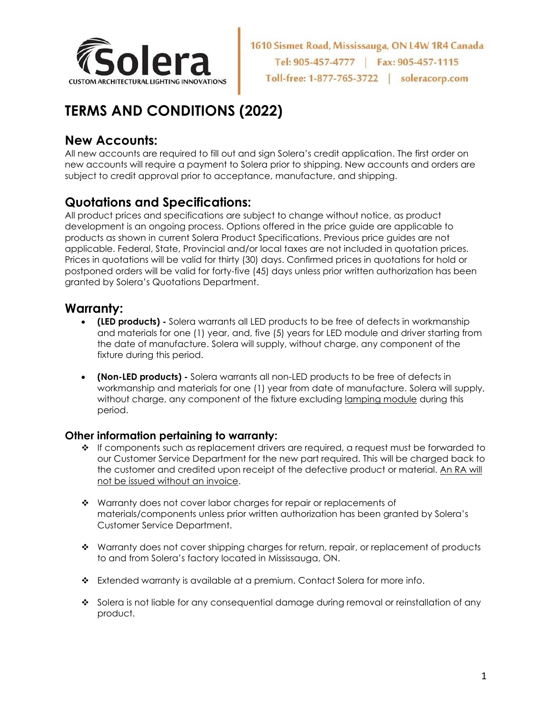

# **TERMS AND CONDITIONS (2022)**

## **New Accounts:**

All new accounts are required to fill out and sign Solera's credit application. The first order on new accounts will require a payment to Solera prior to shipping. New accounts and orders are subject to credit approval prior to acceptance, manufacture, and shipping.

## **Quotations and Specifications:**

All product prices and specifications are subject to change without notice, as product development is an ongoing process. Options offered in the price guide are applicable to products as shown in current Solera Product Specifications. Previous price guides are not applicable. Federal, State, Provincial and/or local taxes are not included in quotation prices. Prices in quotations will be valid for thirty (30) days. Confirmed prices in quotations for hold or postponed orders will be valid for forty-five (45) days unless prior written authorization has been granted by Solera's Quotations Department.

### **Warranty:**

- **(LED products) -** Solera warrants all LED products to be free of defects in workmanship and materials for one (1) year, and, five (5) years for LED module and driver starting from the date of manufacture. Solera will supply, without charge, any component of the fixture during this period.
- **(Non-LED products) -** Solera warrants all non-LED products to be free of defects in workmanship and materials for one (1) year from date of manufacture. Solera will supply, without charge, any component of the fixture excluding lamping module during this period.

#### **Other information pertaining to warranty:**

- ❖ If components such as replacement drivers are required, a request must be forwarded to our Customer Service Department for the new part required. This will be charged back to the customer and credited upon receipt of the defective product or material. An RA will not be issued without an invoice.
- ❖ Warranty does not cover labor charges for repair or replacements of materials/components unless prior written authorization has been granted by Solera's Customer Service Department.
- ❖ Warranty does not cover shipping charges for return, repair, or replacement of products to and from Solera's factory located in Mississauga, ON.
- ❖ Extended warranty is available at a premium. Contact Solera for more info.
- ❖ Solera is not liable for any consequential damage during removal or reinstallation of any product.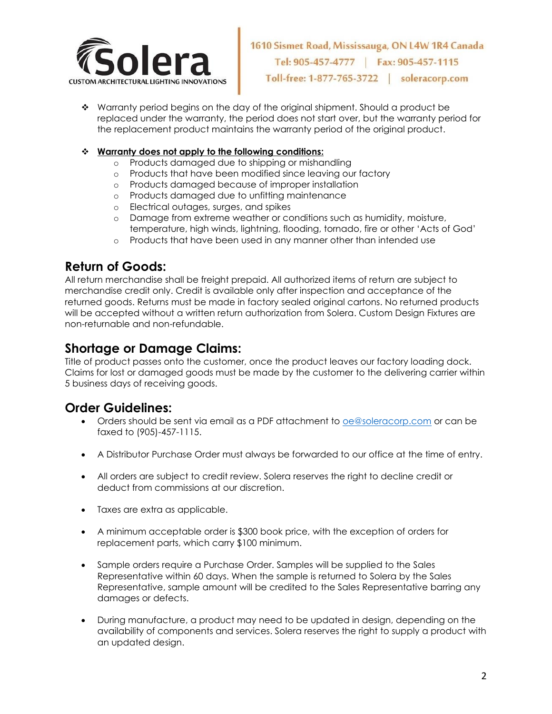

❖ Warranty period begins on the day of the original shipment. Should a product be replaced under the warranty, the period does not start over, but the warranty period for the replacement product maintains the warranty period of the original product.

#### ❖ **Warranty does not apply to the following conditions:**

- o Products damaged due to shipping or mishandling
- o Products that have been modified since leaving our factory
- o Products damaged because of improper installation
- o Products damaged due to unfitting maintenance
- o Electrical outages, surges, and spikes
- o Damage from extreme weather or conditions such as humidity, moisture, temperature, high winds, lightning, flooding, tornado, fire or other 'Acts of God'
- o Products that have been used in any manner other than intended use

#### **Return of Goods:**

All return merchandise shall be freight prepaid. All authorized items of return are subject to merchandise credit only. Credit is available only after inspection and acceptance of the returned goods. Returns must be made in factory sealed original cartons. No returned products will be accepted without a written return authorization from Solera. Custom Design Fixtures are non-returnable and non-refundable.

### **Shortage or Damage Claims:**

Title of product passes onto the customer, once the product leaves our factory loading dock. Claims for lost or damaged goods must be made by the customer to the delivering carrier within 5 business days of receiving goods.

### **Order Guidelines:**

- Orders should be sent via email as a PDF attachment to [oe@soleracorp.com](mailto:oe@soleracorp.com) or can be faxed to (905)-457-1115.
- A Distributor Purchase Order must always be forwarded to our office at the time of entry.
- All orders are subject to credit review. Solera reserves the right to decline credit or deduct from commissions at our discretion.
- Taxes are extra as applicable.
- A minimum acceptable order is \$300 book price, with the exception of orders for replacement parts, which carry \$100 minimum.
- Sample orders require a Purchase Order. Samples will be supplied to the Sales Representative within 60 days. When the sample is returned to Solera by the Sales Representative, sample amount will be credited to the Sales Representative barring any damages or defects.
- During manufacture, a product may need to be updated in design, depending on the availability of components and services. Solera reserves the right to supply a product with an updated design.